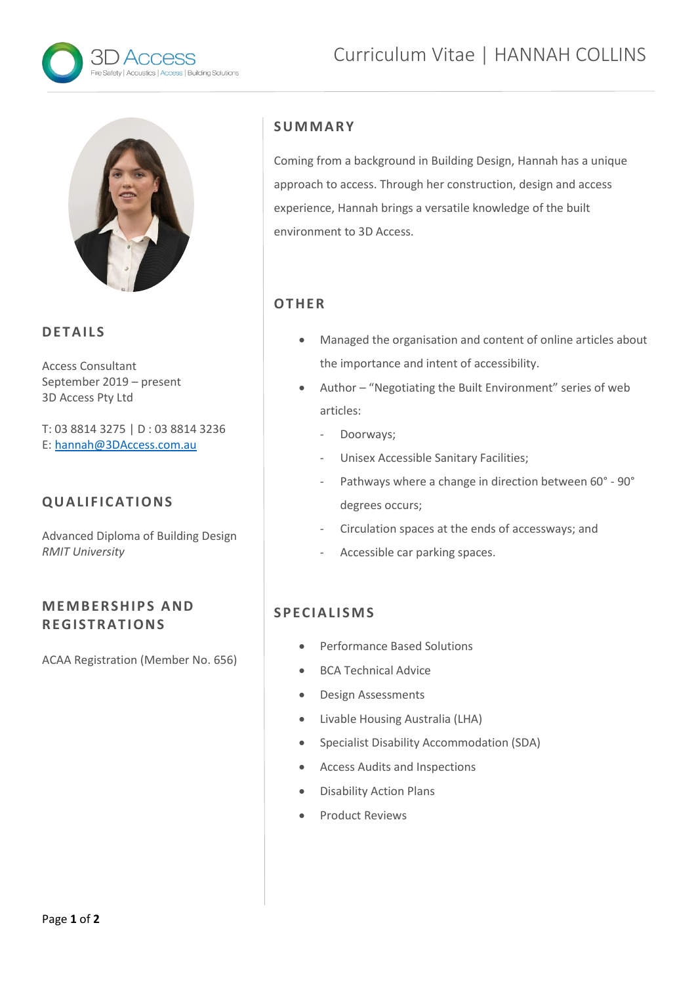



### **D E T A IL S**

Access Consultant September 2019 – present 3D Access Pty Ltd

T: 03 8814 3275 | D : 03 8814 3236 E: [hannah@3DAccess.com.au](mailto:hannah@3DAccess.com.au)

## **Q U A L IF IC A T I O NS**

Advanced Diploma of Building Design *RMIT University*

## **M E M B E R SH IP S A ND R E G IS T R AT I ON S**

ACAA Registration (Member No. 656)

## **S U M M A R Y**

Coming from a background in Building Design, Hannah has a unique approach to access. Through her construction, design and access experience, Hannah brings a versatile knowledge of the built environment to 3D Access.

# **O T HE R**

- Managed the organisation and content of online articles about the importance and intent of accessibility.
- Author "Negotiating the Built Environment" series of web articles:
	- Doorways;
	- Unisex Accessible Sanitary Facilities;
	- Pathways where a change in direction between 60° 90° degrees occurs;
	- Circulation spaces at the ends of accessways; and
	- Accessible car parking spaces.

## **SPECIAL I SMS**

- Performance Based Solutions
- **BCA Technical Advice**
- Design Assessments
- Livable Housing Australia (LHA)
- Specialist Disability Accommodation (SDA)
- Access Audits and Inspections
- Disability Action Plans
- Product Reviews